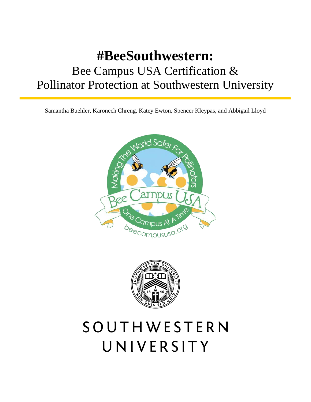## **#BeeSouthwestern:** Bee Campus USA Certification & Pollinator Protection at Southwestern University

Samantha Buehler, Karonech Chreng, Katey Ewton, Spencer Kleypas, and Abbigail Lloyd





# SOUTHWESTERN UNIVERSITY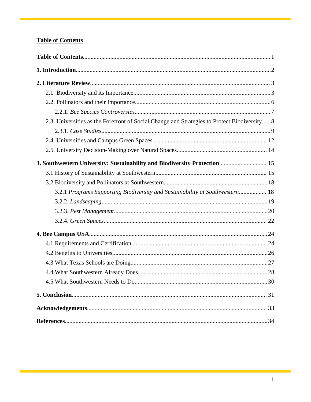## **Table of Contents**

| 2.3. Universities as the Forefront of Social Change and Strategies to Protect Biodiversity8 |
|---------------------------------------------------------------------------------------------|
|                                                                                             |
|                                                                                             |
|                                                                                             |
|                                                                                             |
|                                                                                             |
|                                                                                             |
| 3.2.1 Programs Supporting Biodiversity and Sustainability at Southwestern 18                |
|                                                                                             |
|                                                                                             |
|                                                                                             |
|                                                                                             |
|                                                                                             |
|                                                                                             |
|                                                                                             |
|                                                                                             |
|                                                                                             |
|                                                                                             |
|                                                                                             |
|                                                                                             |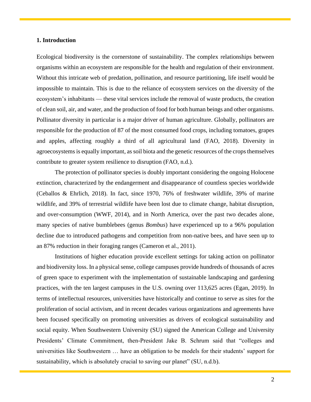## **1. Introduction**

Ecological biodiversity is the cornerstone of sustainability. The complex relationships between organisms within an ecosystem are responsible for the health and regulation of their environment. Without this intricate web of predation, pollination, and resource partitioning, life itself would be impossible to maintain. This is due to the reliance of ecosystem services on the diversity of the ecosystem's inhabitants — these vital services include the removal of waste products, the creation of clean soil, air, and water, and the production of food for both human beings and other organisms. Pollinator diversity in particular is a major driver of human agriculture. Globally, pollinators are responsible for the production of 87 of the most consumed food crops, including tomatoes, grapes and apples, affecting roughly a third of all agricultural land (FAO, 2018). Diversity in agroecosystems is equally important, as soil biota and the genetic resources of the crops themselves contribute to greater system resilience to disruption (FAO, n.d.).

The protection of pollinator species is doubly important considering the ongoing Holocene extinction, characterized by the endangerment and disappearance of countless species worldwide (Ceballos & Ehrlich, 2018). In fact, since 1970, 76% of freshwater wildlife, 39% of marine wildlife, and 39% of terrestrial wildlife have been lost due to climate change, habitat disruption, and over-consumption (WWF, 2014), and in North America, over the past two decades alone, many species of native bumblebees (genus *Bombus*) have experienced up to a 96% population decline due to introduced pathogens and competition from non-native bees, and have seen up to an 87% reduction in their foraging ranges (Cameron et al., 2011).

Institutions of higher education provide excellent settings for taking action on pollinator and biodiversity loss. In a physical sense, college campuses provide hundreds of thousands of acres of green space to experiment with the implementation of sustainable landscaping and gardening practices, with the ten largest campuses in the U.S. owning over 113,625 acres (Egan, 2019). In terms of intellectual resources, universities have historically and continue to serve as sites for the proliferation of social activism, and in recent decades various organizations and agreements have been focused specifically on promoting universities as drivers of ecological sustainability and social equity. When Southwestern University (SU) signed the American College and University Presidents' Climate Commitment, then-President Jake B. Schrum said that "colleges and universities like Southwestern … have an obligation to be models for their students' support for sustainability, which is absolutely crucial to saving our planet" (SU, n.d.b).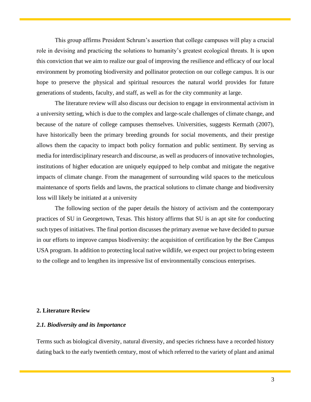This group affirms President Schrum's assertion that college campuses will play a crucial role in devising and practicing the solutions to humanity's greatest ecological threats. It is upon this conviction that we aim to realize our goal of improving the resilience and efficacy of our local environment by promoting biodiversity and pollinator protection on our college campus. It is our hope to preserve the physical and spiritual resources the natural world provides for future generations of students, faculty, and staff, as well as for the city community at large.

The literature review will also discuss our decision to engage in environmental activism in a university setting, which is due to the complex and large-scale challenges of climate change, and because of the nature of college campuses themselves. Universities, suggests Kermath (2007), have historically been the primary breeding grounds for social movements, and their prestige allows them the capacity to impact both policy formation and public sentiment. By serving as media for interdisciplinary research and discourse, as well as producers of innovative technologies, institutions of higher education are uniquely equipped to help combat and mitigate the negative impacts of climate change. From the management of surrounding wild spaces to the meticulous maintenance of sports fields and lawns, the practical solutions to climate change and biodiversity loss will likely be initiated at a university

The following section of the paper details the history of activism and the contemporary practices of SU in Georgetown, Texas. This history affirms that SU is an apt site for conducting such types of initiatives. The final portion discusses the primary avenue we have decided to pursue in our efforts to improve campus biodiversity: the acquisition of certification by the Bee Campus USA program. In addition to protecting local native wildlife, we expect our project to bring esteem to the college and to lengthen its impressive list of environmentally conscious enterprises.

## **2. Literature Review**

## <span id="page-3-0"></span>*2.1. Biodiversity and its Importance*

Terms such as biological diversity, natural diversity, and species richness have a recorded history dating back to the early twentieth century, most of which referred to the variety of plant and animal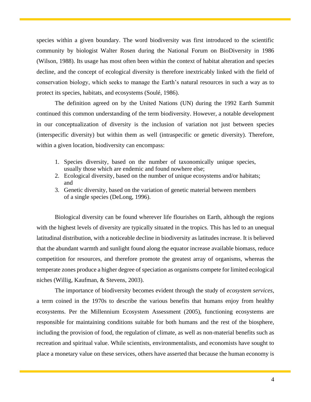species within a given boundary. The word biodiversity was first introduced to the scientific community by biologist Walter Rosen during the National Forum on BioDiversity in 1986 (Wilson, 1988). Its usage has most often been within the context of habitat alteration and species decline, and the concept of ecological diversity is therefore inextricably linked with the field of conservation biology, which seeks to manage the Earth's natural resources in such a way as to protect its species, habitats, and ecosystems (Soulé, 1986).

The definition agreed on by the United Nations (UN) during the 1992 Earth Summit continued this common understanding of the term biodiversity. However, a notable development in our conceptualization of diversity is the inclusion of variation not just between species (interspecific diversity) but within them as well (intraspecific or genetic diversity). Therefore, within a given location, biodiversity can encompass:

- 1. Species diversity, based on the number of taxonomically unique species, usually those which are endemic and found nowhere else;
- 2. Ecological diversity, based on the number of unique ecosystems and/or habitats; and
- 3. Genetic diversity, based on the variation of genetic material between members of a single species (DeLong, 1996).

Biological diversity can be found wherever life flourishes on Earth, although the regions with the highest levels of diversity are typically situated in the tropics. This has led to an unequal latitudinal distribution, with a noticeable decline in biodiversity as latitudes increase. It is believed that the abundant warmth and sunlight found along the equator increase available biomass, reduce competition for resources, and therefore promote the greatest array of organisms, whereas the temperate zones produce a higher degree of speciation as organisms compete for limited ecological niches (Willig, Kaufman, & Stevens, 2003).

The importance of biodiversity becomes evident through the study of *ecosystem services*, a term coined in the 1970s to describe the various benefits that humans enjoy from healthy ecosystems. Per the Millennium Ecosystem Assessment (2005), functioning ecosystems are responsible for maintaining conditions suitable for both humans and the rest of the biosphere, including the provision of food, the regulation of climate, as well as non-material benefits such as recreation and spiritual value. While scientists, environmentalists, and economists have sought to place a monetary value on these services, others have asserted that because the human economy is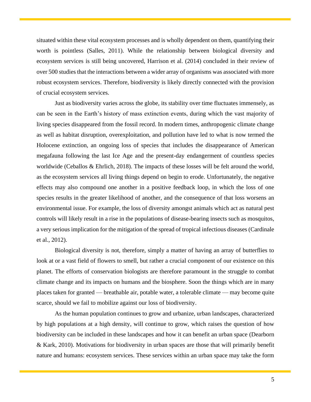situated within these vital ecosystem processes and is wholly dependent on them, quantifying their worth is pointless (Salles, 2011). While the relationship between biological diversity and ecosystem services is still being uncovered, Harrison et al. (2014) concluded in their review of over 500 studies that the interactions between a wider array of organisms was associated with more robust ecosystem services. Therefore, biodiversity is likely directly connected with the provision of crucial ecosystem services.

Just as biodiversity varies across the globe, its stability over time fluctuates immensely, as can be seen in the Earth's history of mass extinction events, during which the vast majority of living species disappeared from the fossil record. In modern times, anthropogenic climate change as well as habitat disruption, overexploitation, and pollution have led to what is now termed the Holocene extinction, an ongoing loss of species that includes the disappearance of American megafauna following the last Ice Age and the present-day endangerment of countless species worldwide (Ceballos & Ehrlich, 2018). The impacts of these losses will be felt around the world, as the ecosystem services all living things depend on begin to erode. Unfortunately, the negative effects may also compound one another in a positive feedback loop, in which the loss of one species results in the greater likelihood of another, and the consequence of that loss worsens an environmental issue. For example, the loss of diversity amongst animals which act as natural pest controls will likely result in a rise in the populations of disease-bearing insects such as mosquitos, a very serious implication for the mitigation of the spread of tropical infectious diseases (Cardinale et al., 2012).

Biological diversity is not, therefore, simply a matter of having an array of butterflies to look at or a vast field of flowers to smell, but rather a crucial component of our existence on this planet. The efforts of conservation biologists are therefore paramount in the struggle to combat climate change and its impacts on humans and the biosphere. Soon the things which are in many places taken for granted — breathable air, potable water, a tolerable climate — may become quite scarce, should we fail to mobilize against our loss of biodiversity.

As the human population continues to grow and urbanize, urban landscapes, characterized by high populations at a high density, will continue to grow, which raises the question of how biodiversity can be included in these landscapes and how it can benefit an urban space (Dearborn & Kark, 2010). Motivations for biodiversity in urban spaces are those that will primarily benefit nature and humans: ecosystem services. These services within an urban space may take the form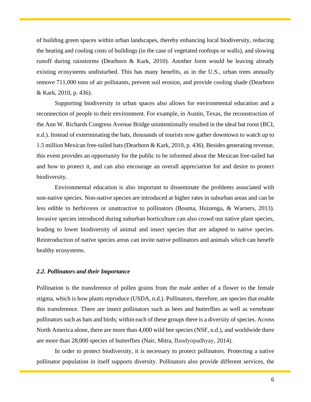of building green spaces within urban landscapes, thereby enhancing local biodiversity, reducing the heating and cooling costs of buildings (in the case of vegetated rooftops or walls), and slowing runoff during rainstorms (Dearborn & Kark, 2010). Another form would be leaving already existing ecosystems undisturbed. This has many benefits, as in the U.S., urban trees annually remove 711,000 tons of air pollutants, prevent soil erosion, and provide cooling shade (Dearborn & Kark, 2010, p. 436).

Supporting biodiversity in urban spaces also allows for environmental education and a reconnection of people to their environment. For example, in Austin, Texas, the reconstruction of the Ann W. Richards Congress Avenue Bridge unintentionally resulted in the ideal bat roost (BCI, n.d.). Instead of exterminating the bats, thousands of tourists now gather downtown to watch up to 1.5 million Mexican free-tailed bats (Dearborn & Kark, 2010, p. 436). Besides generating revenue, this event provides an opportunity for the public to be informed about the Mexican free-tailed bat and how to protect it, and can also encourage an overall appreciation for and desire to protect biodiversity.

Environmental education is also important to disseminate the problems associated with non-native species. Non-native species are introduced at higher rates in suburban areas and can be less edible to herbivores or unattractive to pollinators (Bouma, Huizenga, & Warners, 2013). Invasive species introduced during suburban horticulture can also crowd out native plant species, leading to lower biodiversity of animal and insect species that are adapted to native species. Reintroduction of native species areas can invite native pollinators and animals which can benefit healthy ecosystems.

## <span id="page-6-0"></span>*2.2. Pollinators and their Importance*

Pollination is the transference of pollen grains from the male anther of a flower to the female stigma, which is how plants reproduce (USDA, n.d.). Pollinators, therefore, are species that enable this transference. There are insect pollinators such as bees and butterflies as well as vertebrate pollinators such as bats and birds; within each of these groups there is a diversity of species. Across North America alone, there are more than 4,000 wild bee species (NSF, n.d.), and worldwide there are more than 28,000 species of butterflies (Nair, Mitra, Bandyopadhyay, 2014).

In order to protect biodiversity, it is necessary to protect pollinators. Protecting a native pollinator population in itself supports diversity. Pollinators also provide different services, the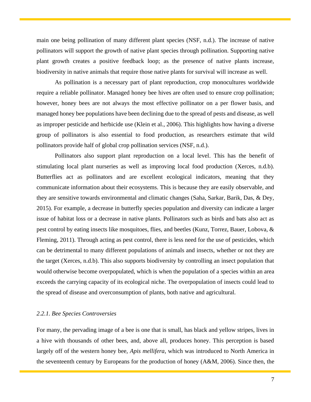main one being pollination of many different plant species (NSF, n.d.). The increase of native pollinators will support the growth of native plant species through pollination. Supporting native plant growth creates a positive feedback loop; as the presence of native plants increase, biodiversity in native animals that require those native plants for survival will increase as well.

As pollination is a necessary part of plant reproduction, crop monocultures worldwide require a reliable pollinator. Managed honey bee hives are often used to ensure crop pollination; however, honey bees are not always the most effective pollinator on a per flower basis, and managed honey bee populations have been declining due to the spread of pests and disease, as well as improper pesticide and herbicide use (Klein et al., 2006). This highlights how having a diverse group of pollinators is also essential to food production, as researchers estimate that wild pollinators provide half of global crop pollination services (NSF, n.d.).

Pollinators also support plant reproduction on a local level. This has the benefit of stimulating local plant nurseries as well as improving local food production (Xerces, n.d.b). Butterflies act as pollinators and are excellent ecological indicators, meaning that they communicate information about their ecosystems. This is because they are easily observable, and they are sensitive towards environmental and climatic changes (Saha, Sarkar, Barik, Das, & Dey, 2015). For example, a decrease in butterfly species population and diversity can indicate a larger issue of habitat loss or a decrease in native plants. Pollinators such as birds and bats also act as pest control by eating insects like mosquitoes, flies, and beetles (Kunz, Torrez, Bauer, Lobova, & Fleming, 2011). Through acting as pest control, there is less need for the use of pesticides, which can be detrimental to many different populations of animals and insects, whether or not they are the target (Xerces, n.d.b). This also supports biodiversity by controlling an insect population that would otherwise become overpopulated, which is when the population of a species within an area exceeds the carrying capacity of its ecological niche. The overpopulation of insects could lead to the spread of disease and overconsumption of plants, both native and agricultural.

## <span id="page-7-0"></span>*2.2.1. Bee Species Controversies*

For many, the pervading image of a bee is one that is small, has black and yellow stripes, lives in a hive with thousands of other bees, and, above all, produces honey. This perception is based largely off of the western honey bee, *Apis mellifera*, which was introduced to North America in the seventeenth century by Europeans for the production of honey (A&M, 2006). Since then, the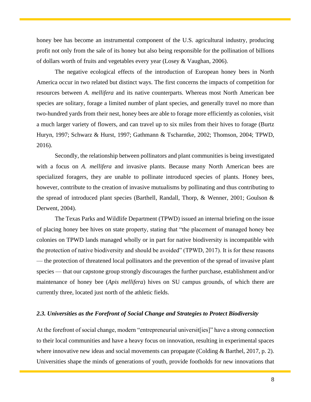honey bee has become an instrumental component of the U.S. agricultural industry, producing profit not only from the sale of its honey but also being responsible for the pollination of billions of dollars worth of fruits and vegetables every year (Losey & Vaughan, 2006).

The negative ecological effects of the introduction of European honey bees in North America occur in two related but distinct ways. The first concerns the impacts of competition for resources between *A. mellifera* and its native counterparts. Whereas most North American bee species are solitary, forage a limited number of plant species, and generally travel no more than two-hundred yards from their nest, honey bees are able to forage more efficiently as colonies, visit a much larger variety of flowers, and can travel up to six miles from their hives to forage (Burtz Huryn, 1997; Schwarz & Hurst, 1997; Gathmann & Tscharntke, 2002; Thomson, 2004; TPWD, 2016).

Secondly, the relationship between pollinators and plant communities is being investigated with a focus on *A. mellifera* and invasive plants. Because many North American bees are specialized foragers, they are unable to pollinate introduced species of plants. Honey bees, however, contribute to the creation of invasive mutualisms by pollinating and thus contributing to the spread of introduced plant species (Barthell, Randall, Thorp, & Wenner, 2001; Goulson & Derwent, 2004).

The Texas Parks and Wildlife Department (TPWD) issued an internal briefing on the issue of placing honey bee hives on state property, stating that "the placement of managed honey bee colonies on TPWD lands managed wholly or in part for native biodiversity is incompatible with the protection of native biodiversity and should be avoided" (TPWD, 2017). It is for these reasons — the protection of threatened local pollinators and the prevention of the spread of invasive plant species — that our capstone group strongly discourages the further purchase, establishment and/or maintenance of honey bee (*Apis mellifera*) hives on SU campus grounds, of which there are currently three, located just north of the athletic fields.

## <span id="page-8-0"></span>*2.3. Universities as the Forefront of Social Change and Strategies to Protect Biodiversity*

At the forefront of social change, modern "entrepreneurial universit [ies]" have a strong connection to their local communities and have a heavy focus on innovation, resulting in experimental spaces where innovative new ideas and social movements can propagate (Colding & Barthel, 2017, p. 2). Universities shape the minds of generations of youth, provide footholds for new innovations that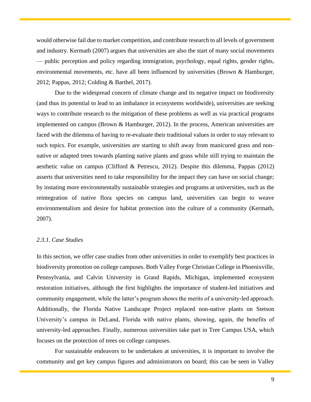would otherwise fail due to market competition, and contribute research to all levels of government and industry. Kermath (2007) argues that universities are also the start of many social movements — public perception and policy regarding immigration, psychology, equal rights, gender rights, environmental movements, etc. have all been influenced by universities (Brown & Hamburger, 2012; Pappas, 2012; Colding & Barthel, 2017).

Due to the widespread concern of climate change and its negative impact on biodiversity (and thus its potential to lead to an imbalance in ecosystems worldwide), universities are seeking ways to contribute research to the mitigation of these problems as well as via practical programs implemented on campus (Brown & Hamburger, 2012). In the process, American universities are faced with the dilemma of having to re-evaluate their traditional values in order to stay relevant to such topics. For example, universities are starting to shift away from manicured grass and nonnative or adapted trees towards planting native plants and grass while still trying to maintain the aesthetic value on campus (Clifford & Petrescu, 2012). Despite this dilemma, Pappas (2012) asserts that universities need to take responsibility for the impact they can have on social change; by instating more environmentally sustainable strategies and programs at universities, such as the reintegration of native flora species on campus land, universities can begin to weave environmentalism and desire for habitat protection into the culture of a community (Kermath, 2007).

### <span id="page-9-0"></span>*2.3.1. Case Studies*

In this section, we offer case studies from other universities in order to exemplify best practices in biodiversity promotion on college campuses. Both Valley Forge Christian College in Phoenixville, Pennsylvania, and Calvin University in Grand Rapids, Michigan, implemented ecosystem restoration initiatives, although the first highlights the importance of student-led initiatives and community engagement, while the latter's program shows the merits of a university-led approach. Additionally, the Florida Native Landscape Project replaced non-native plants on Stetson University's campus in DeLand, Florida with native plants, showing, again, the benefits of university-led approaches. Finally, numerous universities take part in Tree Campus USA, which focuses on the protection of trees on college campuses.

For sustainable endeavors to be undertaken at universities, it is important to involve the community and get key campus figures and administrators on board; this can be seen in Valley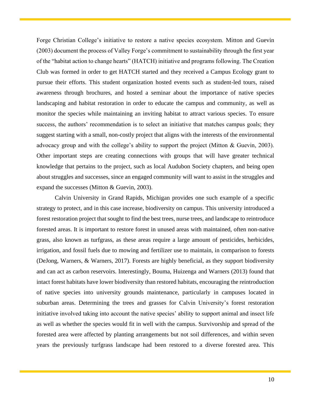Forge Christian College's initiative to restore a native species ecosystem. Mitton and Guevin (2003) document the process of Valley Forge's commitment to sustainability through the first year of the "habitat action to change hearts" (HATCH) initiative and programs following. The Creation Club was formed in order to get HATCH started and they received a Campus Ecology grant to pursue their efforts. This student organization hosted events such as student-led tours, raised awareness through brochures, and hosted a seminar about the importance of native species landscaping and habitat restoration in order to educate the campus and community, as well as monitor the species while maintaining an inviting habitat to attract various species. To ensure success, the authors' recommendation is to select an initiative that matches campus goals; they suggest starting with a small, non-costly project that aligns with the interests of the environmental advocacy group and with the college's ability to support the project (Mitton & Guevin, 2003). Other important steps are creating connections with groups that will have greater technical knowledge that pertains to the project, such as local Audubon Society chapters, and being open about struggles and successes, since an engaged community will want to assist in the struggles and expand the successes (Mitton & Guevin, 2003).

Calvin University in Grand Rapids, Michigan provides one such example of a specific strategy to protect, and in this case increase, biodiversity on campus. This university introduced a forest restoration project that sought to find the best trees, nurse trees, and landscape to reintroduce forested areas. It is important to restore forest in unused areas with maintained, often non-native grass, also known as turfgrass, as these areas require a large amount of pesticides, herbicides, irrigation, and fossil fuels due to mowing and fertilizer use to maintain, in comparison to forests (DeJong, Warners, & Warners, 2017). Forests are highly beneficial, as they support biodiversity and can act as carbon reservoirs. Interestingly, Bouma, Huizenga and Warners (2013) found that intact forest habitats have lower biodiversity than restored habitats, encouraging the reintroduction of native species into university grounds maintenance, particularly in campuses located in suburban areas. Determining the trees and grasses for Calvin University's forest restoration initiative involved taking into account the native species' ability to support animal and insect life as well as whether the species would fit in well with the campus. Survivorship and spread of the forested area were affected by planting arrangements but not soil differences, and within seven years the previously turfgrass landscape had been restored to a diverse forested area. This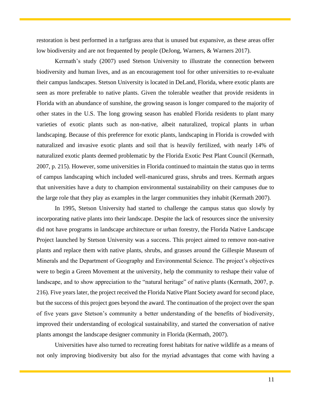restoration is best performed in a turfgrass area that is unused but expansive, as these areas offer low biodiversity and are not frequented by people (DeJong, Warners, & Warners 2017).

Kermath's study (2007) used Stetson University to illustrate the connection between biodiversity and human lives, and as an encouragement tool for other universities to re-evaluate their campus landscapes. Stetson University is located in DeLand, Florida, where exotic plants are seen as more preferable to native plants. Given the tolerable weather that provide residents in Florida with an abundance of sunshine, the growing season is longer compared to the majority of other states in the U.S. The long growing season has enabled Florida residents to plant many varieties of exotic plants such as non-native, albeit naturalized, tropical plants in urban landscaping. Because of this preference for exotic plants, landscaping in Florida is crowded with naturalized and invasive exotic plants and soil that is heavily fertilized, with nearly 14% of naturalized exotic plants deemed problematic by the Florida Exotic Pest Plant Council (Kermath, 2007, p. 215). However, some universities in Florida continued to maintain the status quo in terms of campus landscaping which included well-manicured grass, shrubs and trees. Kermath argues that universities have a duty to champion environmental sustainability on their campuses due to the large role that they play as examples in the larger communities they inhabit (Kermath 2007).

In 1995, Stetson University had started to challenge the campus status quo slowly by incorporating native plants into their landscape. Despite the lack of resources since the university did not have programs in landscape architecture or urban forestry, the Florida Native Landscape Project launched by Stetson University was a success. This project aimed to remove non-native plants and replace them with native plants, shrubs, and grasses around the Gillespie Museum of Minerals and the Department of Geography and Environmental Science. The project's objectives were to begin a Green Movement at the university, help the community to reshape their value of landscape, and to show appreciation to the "natural heritage" of native plants (Kermath, 2007, p. 216). Five years later, the project received the Florida Native Plant Society award for second place, but the success of this project goes beyond the award. The continuation of the project over the span of five years gave Stetson's community a better understanding of the benefits of biodiversity, improved their understanding of ecological sustainability, and started the conversation of native plants amongst the landscape designer community in Florida (Kermath, 2007).

Universities have also turned to recreating forest habitats for native wildlife as a means of not only improving biodiversity but also for the myriad advantages that come with having a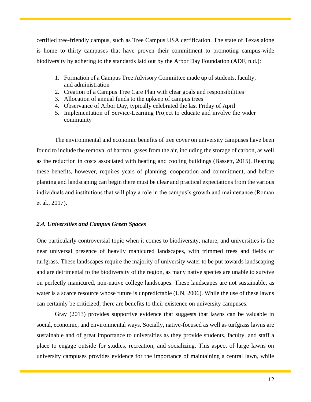certified tree-friendly campus, such as Tree Campus USA certification. The state of Texas alone is home to thirty campuses that have proven their commitment to promoting campus-wide biodiversity by adhering to the standards laid out by the Arbor Day Foundation (ADF, n.d.):

- 1. Formation of a Campus Tree Advisory Committee made up of students, faculty, and administration
- 2. Creation of a Campus Tree Care Plan with clear goals and responsibilities
- 3. Allocation of annual funds to the upkeep of campus trees
- 4. Observance of Arbor Day, typically celebrated the last Friday of April
- 5. Implementation of Service-Learning Project to educate and involve the wider community

The environmental and economic benefits of tree cover on university campuses have been found to include the removal of harmful gases from the air, including the storage of carbon, as well as the reduction in costs associated with heating and cooling buildings (Bassett, 2015). Reaping these benefits, however, requires years of planning, cooperation and commitment, and before planting and landscaping can begin there must be clear and practical expectations from the various individuals and institutions that will play a role in the campus's growth and maintenance (Roman et al., 2017).

## <span id="page-12-0"></span>*2.4. Universities and Campus Green Spaces*

One particularly controversial topic when it comes to biodiversity, nature, and universities is the near universal presence of heavily manicured landscapes, with trimmed trees and fields of turfgrass. These landscapes require the majority of university water to be put towards landscaping and are detrimental to the biodiversity of the region, as many native species are unable to survive on perfectly manicured, non-native college landscapes. These landscapes are not sustainable, as water is a scarce resource whose future is unpredictable (UN, 2006). While the use of these lawns can certainly be criticized, there are benefits to their existence on university campuses.

Gray (2013) provides supportive evidence that suggests that lawns can be valuable in social, economic, and environmental ways. Socially, native-focused as well as turfgrass lawns are sustainable and of great importance to universities as they provide students, faculty, and staff a place to engage outside for studies, recreation, and socializing. This aspect of large lawns on university campuses provides evidence for the importance of maintaining a central lawn, while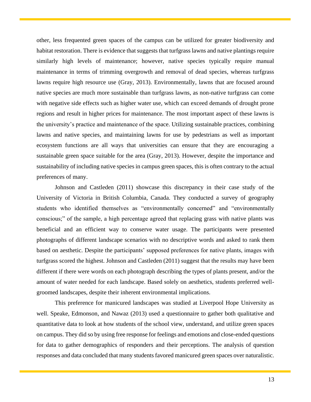other, less frequented green spaces of the campus can be utilized for greater biodiversity and habitat restoration. There is evidence that suggests that turfgrass lawns and native plantings require similarly high levels of maintenance; however, native species typically require manual maintenance in terms of trimming overgrowth and removal of dead species, whereas turfgrass lawns require high resource use (Gray, 2013). Environmentally, lawns that are focused around native species are much more sustainable than turfgrass lawns, as non-native turfgrass can come with negative side effects such as higher water use, which can exceed demands of drought prone regions and result in higher prices for maintenance. The most important aspect of these lawns is the university's practice and maintenance of the space. Utilizing sustainable practices, combining lawns and native species, and maintaining lawns for use by pedestrians as well as important ecosystem functions are all ways that universities can ensure that they are encouraging a sustainable green space suitable for the area (Gray, 2013). However, despite the importance and sustainability of including native species in campus green spaces, this is often contrary to the actual preferences of many.

Johnson and Castleden (2011) showcase this discrepancy in their case study of the University of Victoria in British Columbia, Canada. They conducted a survey of geography students who identified themselves as "environmentally concerned" and "environmentally conscious;" of the sample, a high percentage agreed that replacing grass with native plants was beneficial and an efficient way to conserve water usage. The participants were presented photographs of different landscape scenarios with no descriptive words and asked to rank them based on aesthetic. Despite the participants' supposed preferences for native plants, images with turfgrass scored the highest. Johnson and Castleden (2011) suggest that the results may have been different if there were words on each photograph describing the types of plants present, and/or the amount of water needed for each landscape. Based solely on aesthetics, students preferred wellgroomed landscapes, despite their inherent environmental implications.

This preference for manicured landscapes was studied at Liverpool Hope University as well. Speake, Edmonson, and Nawaz (2013) used a questionnaire to gather both qualitative and quantitative data to look at how students of the school view, understand, and utilize green spaces on campus. They did so by using free response for feelings and emotions and close-ended questions for data to gather demographics of responders and their perceptions. The analysis of question responses and data concluded that many students favored manicured green spaces over naturalistic.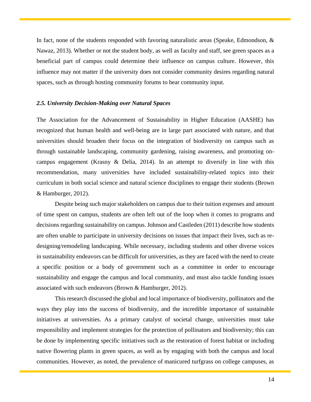In fact, none of the students responded with favoring naturalistic areas (Speake, Edmondson, & Nawaz, 2013). Whether or not the student body, as well as faculty and staff, see green spaces as a beneficial part of campus could determine their influence on campus culture. However, this influence may not matter if the university does not consider community desires regarding natural spaces, such as through hosting community forums to hear community input.

## <span id="page-14-0"></span>*2.5. University Decision-Making over Natural Spaces*

The Association for the Advancement of Sustainability in Higher Education (AASHE) has recognized that human health and well-being are in large part associated with nature, and that universities should broaden their focus on the integration of biodiversity on campus such as through sustainable landscaping, community gardening, raising awareness, and promoting oncampus engagement (Krasny & Delia, 2014). In an attempt to diversify in line with this recommendation, many universities have included sustainability-related topics into their curriculum in both social science and natural science disciplines to engage their students (Brown & Hamburger, 2012).

Despite being such major stakeholders on campus due to their tuition expenses and amount of time spent on campus, students are often left out of the loop when it comes to programs and decisions regarding sustainability on campus. Johnson and Castleden (2011) describe how students are often unable to participate in university decisions on issues that impact their lives, such as redesigning/remodeling landscaping. While necessary, including students and other diverse voices in sustainability endeavors can be difficult for universities, as they are faced with the need to create a specific position or a body of government such as a committee in order to encourage sustainability and engage the campus and local community, and must also tackle funding issues associated with such endeavors (Brown & Hamburger, 2012).

This research discussed the global and local importance of biodiversity, pollinators and the ways they play into the success of biodiversity, and the incredible importance of sustainable initiatives at universities. As a primary catalyst of societal change, universities must take responsibility and implement strategies for the protection of pollinators and biodiversity; this can be done by implementing specific initiatives such as the restoration of forest habitat or including native flowering plants in green spaces, as well as by engaging with both the campus and local communities. However, as noted, the prevalence of manicured turfgrass on college campuses, as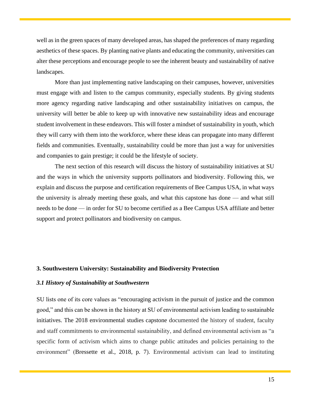well as in the green spaces of many developed areas, has shaped the preferences of many regarding aesthetics of these spaces. By planting native plants and educating the community, universities can alter these perceptions and encourage people to see the inherent beauty and sustainability of native landscapes.

More than just implementing native landscaping on their campuses, however, universities must engage with and listen to the campus community, especially students. By giving students more agency regarding native landscaping and other sustainability initiatives on campus, the university will better be able to keep up with innovative new sustainability ideas and encourage student involvement in these endeavors. This will foster a mindset of sustainability in youth, which they will carry with them into the workforce, where these ideas can propagate into many different fields and communities. Eventually, sustainability could be more than just a way for universities and companies to gain prestige; it could be the lifestyle of society.

The next section of this research will discuss the history of sustainability initiatives at SU and the ways in which the university supports pollinators and biodiversity. Following this, we explain and discuss the purpose and certification requirements of Bee Campus USA, in what ways the university is already meeting these goals, and what this capstone has done — and what still needs to be done — in order for SU to become certified as a Bee Campus USA affiliate and better support and protect pollinators and biodiversity on campus.

## <span id="page-15-0"></span>**3. Southwestern University: Sustainability and Biodiversity Protection**

## <span id="page-15-1"></span>*3.1 History of Sustainability at Southwestern*

SU lists one of its core values as "encouraging activism in the pursuit of justice and the common good," and this can be shown in the history at SU of environmental activism leading to sustainable initiatives. The 2018 environmental studies capstone documented the history of student, faculty and staff commitments to environmental sustainability, and defined environmental activism as "a specific form of activism which aims to change public attitudes and policies pertaining to the environment" (Bressette et al., 2018, p. 7). Environmental activism can lead to instituting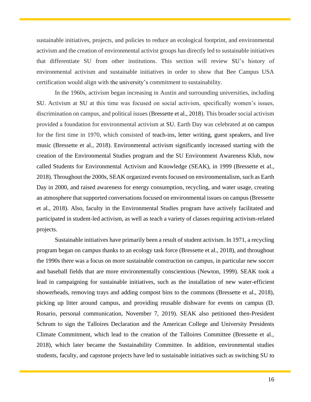sustainable initiatives, projects, and policies to reduce an ecological footprint, and environmental activism and the creation of environmental activist groups has directly led to sustainable initiatives that differentiate SU from other institutions. This section will review SU's history of environmental activism and sustainable initiatives in order to show that Bee Campus USA certification would align with the university's commitment to sustainability.

In the 1960s, activism began increasing in Austin and surrounding universities, including SU. Activism at SU at this time was focused on social activism, specifically women's issues, discrimination on campus, and political issues (Bressette et al., 2018). This broader social activism provided a foundation for environmental activism at SU. Earth Day was celebrated at on campus for the first time in 1970, which consisted of teach-ins, letter writing, guest speakers, and live music (Bressette et al., 2018). Environmental activism significantly increased starting with the creation of the Environmental Studies program and the SU Environment Awareness Klub, now called Students for Environmental Activism and Knowledge (SEAK), in 1999 (Bressette et al., 2018). Throughout the 2000s, SEAK organized events focused on environmentalism, such as Earth Day in 2000, and raised awareness for energy consumption, recycling, and water usage, creating an atmosphere that supported conversations focused on environmental issues on campus (Bressette et al., 2018). Also, faculty in the Environmental Studies program have actively facilitated and participated in student-led activism, as well as teach a variety of classes requiring activism-related projects.

Sustainable initiatives have primarily been a result of student activism. In 1971, a recycling program began on campus thanks to an ecology task force (Bressette et al., 2018), and throughout the 1990s there was a focus on more sustainable construction on campus, in particular new soccer and baseball fields that are more environmentally conscientious (Newton, 1999). SEAK took a lead in campaigning for sustainable initiatives, such as the installation of new water-efficient showerheads, removing trays and adding compost bins to the commons (Bressette et al., 2018), picking up litter around campus, and providing reusable dishware for events on campus (D. Rosario, personal communication, November 7, 2019). SEAK also petitioned then-President Schrum to sign the Talloires Declaration and the American College and University Presidents Climate Commitment, which lead to the creation of the Talloires Committee (Bressette et al., 2018), which later became the Sustainability Committee. In addition, environmental studies students, faculty, and capstone projects have led to sustainable initiatives such as switching SU to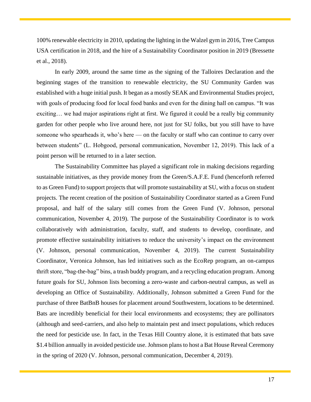100% renewable electricity in 2010, updating the lighting in the Walzel gym in 2016, Tree Campus USA certification in 2018, and the hire of a Sustainability Coordinator position in 2019 (Bressette et al., 2018).

In early 2009, around the same time as the signing of the Talloires Declaration and the beginning stages of the transition to renewable electricity, the SU Community Garden was established with a huge initial push. It began as a mostly SEAK and Environmental Studies project, with goals of producing food for local food banks and even for the dining hall on campus. "It was exciting… we had major aspirations right at first. We figured it could be a really big community garden for other people who live around here, not just for SU folks, but you still have to have someone who spearheads it, who's here — on the faculty or staff who can continue to carry over between students" (L. Hobgood, personal communication, November 12, 2019). This lack of a point person will be returned to in a later section.

The Sustainability Committee has played a significant role in making decisions regarding sustainable initiatives, as they provide money from the Green/S.A.F.E. Fund (henceforth referred to as Green Fund) to support projects that will promote sustainability at SU, with a focus on student projects. The recent creation of the position of Sustainability Coordinator started as a Green Fund proposal, and half of the salary still comes from the Green Fund (V. Johnson, personal communication, November 4, 2019). The purpose of the Sustainability Coordinator is to work collaboratively with administration, faculty, staff, and students to develop, coordinate, and promote effective sustainability initiatives to reduce the university's impact on the environment (V. Johnson, personal communication, November 4, 2019). The current Sustainability Coordinator, Veronica Johnson, has led initiatives such as the EcoRep program, an on-campus thrift store, "bag-the-bag" bins, a trash buddy program, and a recycling education program. Among future goals for SU, Johnson lists becoming a zero-waste and carbon-neutral campus, as well as developing an Office of Sustainability. Additionally, Johnson submitted a Green Fund for the purchase of three BatBnB houses for placement around Southwestern, locations to be determined. Bats are incredibly beneficial for their local environments and ecosystems; they are pollinators (although and seed-carriers, and also help to maintain pest and insect populations, which reduces the need for pesticide use. In fact, in the Texas Hill Country alone, it is estimated that bats save \$1.4 billion annually in avoided pesticide use. Johnson plans to host a Bat House Reveal Ceremony in the spring of 2020 (V. Johnson, personal communication, December 4, 2019).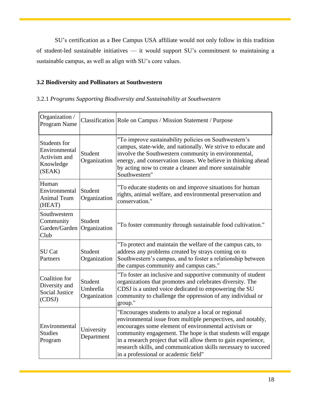SU's certification as a Bee Campus USA affiliate would not only follow in this tradition of student-led sustainable initiatives — it would support SU's commitment to maintaining a sustainable campus, as well as align with SU's core values.

## **3.2 Biodiversity and Pollinators at Southwestern**

## 3.2.1 *Programs Supporting Biodiversity and Sustainability at Southwestern*

| Organization /<br>Program Name                                       |                                     | Classification Role on Campus / Mission Statement / Purpose                                                                                                                                                                                                                                                                                                                                                            |
|----------------------------------------------------------------------|-------------------------------------|------------------------------------------------------------------------------------------------------------------------------------------------------------------------------------------------------------------------------------------------------------------------------------------------------------------------------------------------------------------------------------------------------------------------|
| Students for<br>Environmental<br>Activism and<br>Knowledge<br>(SEAK) | Student<br>Organization             | "To improve sustainability policies on Southwestern's<br>campus, state-wide, and nationally. We strive to educate and<br>involve the Southwestern community in environmental,<br>energy, and conservation issues. We believe in thinking ahead<br>by acting now to create a cleaner and more sustainable<br>Southwestern"                                                                                              |
| Human<br>Environmental<br><b>Animal Team</b><br>(HEAT)               | Student<br>Organization             | "To educate students on and improve situations for human<br>rights, animal welfare, and environmental preservation and<br>conservation."                                                                                                                                                                                                                                                                               |
| Southwestern<br>Community<br>Garden/Garden<br>Club                   | Student<br>Organization             | "To foster community through sustainable food cultivation."                                                                                                                                                                                                                                                                                                                                                            |
| SU Cat<br>Partners                                                   | Student<br>Organization             | "To protect and maintain the welfare of the campus cats, to<br>address any problems created by strays coming on to<br>Southwestern's campus, and to foster a relationship between<br>the campus community and campus cats."                                                                                                                                                                                            |
| Coalition for<br>Diversity and<br><b>Social Justice</b><br>(CDSJ)    | Student<br>Umbrella<br>Organization | "To foster an inclusive and supportive community of student<br>organizations that promotes and celebrates diversity. The<br>CDSJ is a united voice dedicated to empowering the SU<br>community to challenge the oppression of any individual or<br>group."                                                                                                                                                             |
| Environmental<br><b>Studies</b><br>Program                           | University<br>Department            | "Encourages students to analyze a local or regional<br>environmental issue from multiple perspectives, and notably,<br>encourages some element of environmental activism or<br>community engagement. The hope is that students will engage<br>in a research project that will allow them to gain experience,<br>research skills, and communication skills necessary to succeed<br>in a professional or academic field" |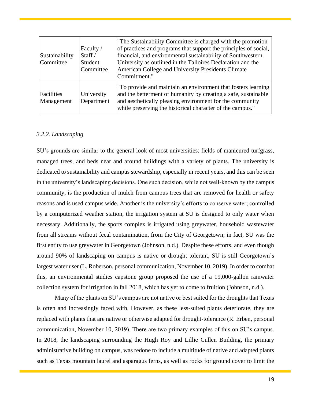| Sustainability<br>Committee | Faculty /<br>Staff $/$<br>Student<br>Committee | The Sustainability Committee is charged with the promotion<br>of practices and programs that support the principles of social,<br>financial, and environmental sustainability of Southwestern<br>University as outlined in the Talloires Declaration and the<br>American College and University Presidents Climate<br>Commitment." |
|-----------------------------|------------------------------------------------|------------------------------------------------------------------------------------------------------------------------------------------------------------------------------------------------------------------------------------------------------------------------------------------------------------------------------------|
| Facilities<br>Management    | University<br>Department                       | To provide and maintain an environment that fosters learning<br>and the betterment of humanity by creating a safe, sustainable<br>and aesthetically pleasing environment for the community<br>while preserving the historical character of the campus."                                                                            |

## <span id="page-19-0"></span>*3.2.2. Landscaping*

SU's grounds are similar to the general look of most universities: fields of manicured turfgrass, managed trees, and beds near and around buildings with a variety of plants. The university is dedicated to sustainability and campus stewardship, especially in recent years, and this can be seen in the university's landscaping decisions. One such decision, while not well-known by the campus community, is the production of mulch from campus trees that are removed for health or safety reasons and is used campus wide. Another is the university's efforts to conserve water; controlled by a computerized weather station, the irrigation system at SU is designed to only water when necessary. Additionally, the sports complex is irrigated using greywater, household wastewater from all streams without fecal contamination, from the City of Georgetown; in fact, SU was the first entity to use greywater in Georgetown (Johnson, n.d.). Despite these efforts, and even though around 90% of landscaping on campus is native or drought tolerant, SU is still Georgetown's largest water user (L. Roberson, personal communication, November 10, 2019). In order to combat this, an environmental studies capstone group proposed the use of a 19,000-gallon rainwater collection system for irrigation in fall 2018, which has yet to come to fruition (Johnson, n.d.).

Many of the plants on SU's campus are not native or best suited for the droughts that Texas is often and increasingly faced with. However, as these less-suited plants deteriorate, they are replaced with plants that are native or otherwise adapted for drought-tolerance (R. Erben, personal communication, November 10, 2019). There are two primary examples of this on SU's campus. In 2018, the landscaping surrounding the Hugh Roy and Lillie Cullen Building, the primary administrative building on campus, was redone to include a multitude of native and adapted plants such as Texas mountain laurel and asparagus ferns, as well as rocks for ground cover to limit the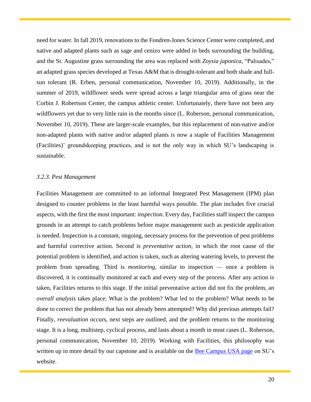need for water. In fall 2019, renovations to the Fondren-Jones Science Center were completed, and native and adapted plants such as sage and cenizo were added in beds surrounding the building, and the St. Augustine grass surrounding the area was replaced with *Zoysia japonica*, "Palisades," an adapted grass species developed at Texas A&M that is drought-tolerant and both shade and fullsun tolerant (R. Erben, personal communication, November 10, 2019). Additionally, in the summer of 2019, wildflower seeds were spread across a large triangular area of grass near the Corbin J. Robertson Center, the campus athletic center. Unfortunately, there have not been any wildflowers yet due to very little rain in the months since (L. Roberson, personal communication, November 10, 2019). These are larger-scale examples, but this replacement of non-native and/or non-adapted plants with native and/or adapted plants is now a staple of Facilities Management (Facilities)' groundskeeping practices, and is not the only way in which SU's landscaping is sustainable.

## <span id="page-20-0"></span>*3.2.3. Pest Management*

Facilities Management are committed to an informal Integrated Pest Management (IPM) plan designed to counter problems in the least harmful ways possible. The plan includes five crucial aspects, with the first the most important: *inspection*. Every day, Facilities staff inspect the campus grounds in an attempt to catch problems before major management such as pesticide application is needed. Inspection is a constant, ongoing, necessary process for the prevention of pest problems and harmful corrective action. Second is *preventative action*, in which the root cause of the potential problem is identified, and action is taken, such as altering watering levels, to prevent the problem from spreading. Third is *monitoring*, similar to inspection — once a problem is discovered, it is continually monitored at each and every step of the process. After any action is taken, Facilities returns to this stage. If the initial preventative action did not fix the problem, an *overall analysis* takes place: What is the problem? What led to the problem? What needs to be done to correct the problem that has not already been attempted? Why did previous attempts fail? Finally, *reevaluation* occurs, next steps are outlined, and the problem returns to the monitoring stage. It is a long, multistep, cyclical process, and lasts about a month in most cases (L. Roberson, personal communication, November 10, 2019). Working with Facilities, this philosophy was written up in more detail by our capstone and is available on the [Bee Campus USA page](https://www.southwestern.edu/about-southwestern/sustainability/recognition-and-reports/bee-campus-usa/) on SU's website.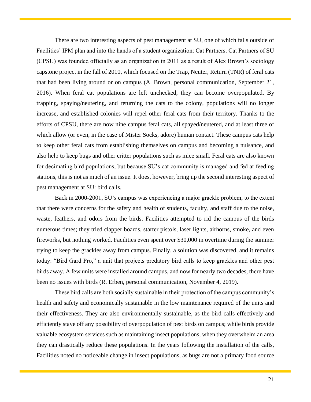There are two interesting aspects of pest management at SU, one of which falls outside of Facilities' IPM plan and into the hands of a student organization: Cat Partners. Cat Partners of SU (CPSU) was founded officially as an organization in 2011 as a result of Alex Brown's sociology capstone project in the fall of 2010, which focused on the Trap, Neuter, Return (TNR) of feral cats that had been living around or on campus (A. Brown, personal communication, September 21, 2016). When feral cat populations are left unchecked, they can become overpopulated. By trapping, spaying/neutering, and returning the cats to the colony, populations will no longer increase, and established colonies will repel other feral cats from their territory. Thanks to the efforts of CPSU, there are now nine campus feral cats, all spayed/neutered, and at least three of which allow (or even, in the case of Mister Socks, adore) human contact. These campus cats help to keep other feral cats from establishing themselves on campus and becoming a nuisance, and also help to keep bugs and other critter populations such as mice small. Feral cats are also known for decimating bird populations, but because SU's cat community is managed and fed at feeding stations, this is not as much of an issue. It does, however, bring up the second interesting aspect of pest management at SU: bird calls.

Back in 2000-2001, SU's campus was experiencing a major grackle problem, to the extent that there were concerns for the safety and health of students, faculty, and staff due to the noise, waste, feathers, and odors from the birds. Facilities attempted to rid the campus of the birds numerous times; they tried clapper boards, starter pistols, laser lights, airhorns, smoke, and even fireworks, but nothing worked. Facilities even spent over \$30,000 in overtime during the summer trying to keep the grackles away from campus. Finally, a solution was discovered, and it remains today: "Bird Gard Pro," a unit that projects predatory bird calls to keep grackles and other pest birds away. A few units were installed around campus, and now for nearly two decades, there have been no issues with birds (R. Erben, personal communication, November 4, 2019).

These bird calls are both socially sustainable in their protection of the campus community's health and safety and economically sustainable in the low maintenance required of the units and their effectiveness. They are also environmentally sustainable, as the bird calls effectively and efficiently stave off any possibility of overpopulation of pest birds on campus; while birds provide valuable ecosystem services such as maintaining insect populations, when they overwhelm an area they can drastically reduce these populations. In the years following the installation of the calls, Facilities noted no noticeable change in insect populations, as bugs are not a primary food source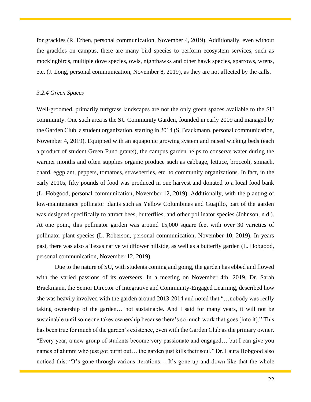for grackles (R. Erben, personal communication, November 4, 2019). Additionally, even without the grackles on campus, there are many bird species to perform ecosystem services, such as mockingbirds, multiple dove species, owls, nighthawks and other hawk species, sparrows, wrens, etc. (J. Long, personal communication, November 8, 2019), as they are not affected by the calls.

## <span id="page-22-0"></span>*3.2.4 Green Spaces*

Well-groomed, primarily turfgrass landscapes are not the only green spaces available to the SU community. One such area is the SU Community Garden, founded in early 2009 and managed by the Garden Club, a student organization, starting in 2014 (S. Brackmann, personal communication, November 4, 2019). Equipped with an aquaponic growing system and raised wicking beds (each a product of student Green Fund grants), the campus garden helps to conserve water during the warmer months and often supplies organic produce such as cabbage, lettuce, broccoli, spinach, chard, eggplant, peppers, tomatoes, strawberries, etc. to community organizations. In fact, in the early 2010s, fifty pounds of food was produced in one harvest and donated to a local food bank (L. Hobgood, personal communication, November 12, 2019). Additionally, with the planting of low-maintenance pollinator plants such as Yellow Columbines and Guajillo, part of the garden was designed specifically to attract bees, butterflies, and other pollinator species (Johnson, n.d.). At one point, this pollinator garden was around 15,000 square feet with over 30 varieties of pollinator plant species (L. Roberson, personal communication, November 10, 2019). In years past, there was also a Texas native wildflower hillside, as well as a butterfly garden (L. Hobgood, personal communication, November 12, 2019).

Due to the nature of SU, with students coming and going, the garden has ebbed and flowed with the varied passions of its overseers. In a meeting on November 4th, 2019, Dr. Sarah Brackmann, the Senior Director of Integrative and Community-Engaged Learning, described how she was heavily involved with the garden around 2013-2014 and noted that "…nobody was really taking ownership of the garden… not sustainable. And I said for many years, it will not be sustainable until someone takes ownership because there's so much work that goes [into it]." This has been true for much of the garden's existence, even with the Garden Club as the primary owner. "Every year, a new group of students become very passionate and engaged… but I can give you names of alumni who just got burnt out… the garden just kills their soul." Dr. Laura Hobgood also noticed this: "It's gone through various iterations... It's gone up and down like that the whole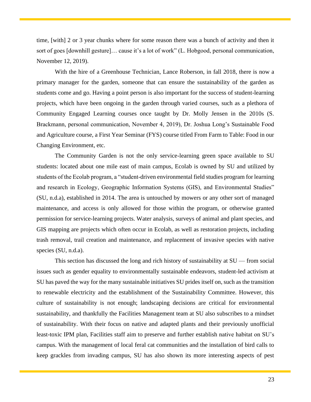time, [with] 2 or 3 year chunks where for some reason there was a bunch of activity and then it sort of goes [downhill gesture]… cause it's a lot of work" (L. Hobgood, personal communication, November 12, 2019).

With the hire of a Greenhouse Technician, Lance Roberson, in fall 2018, there is now a primary manager for the garden, someone that can ensure the sustainability of the garden as students come and go. Having a point person is also important for the success of student-learning projects, which have been ongoing in the garden through varied courses, such as a plethora of Community Engaged Learning courses once taught by Dr. Molly Jensen in the 2010s (S. Brackmann, personal communication, November 4, 2019), Dr. Joshua Long's Sustainable Food and Agriculture course, a First Year Seminar (FYS) course titled From Farm to Table: Food in our Changing Environment, etc.

The Community Garden is not the only service-learning green space available to SU students: located about one mile east of main campus, Ecolab is owned by SU and utilized by students of the Ecolab program, a "student-driven environmental field studies program for learning and research in Ecology, Geographic Information Systems (GIS), and Environmental Studies" (SU, n.d.a), established in 2014. The area is untouched by mowers or any other sort of managed maintenance, and access is only allowed for those within the program, or otherwise granted permission for service-learning projects. Water analysis, surveys of animal and plant species, and GIS mapping are projects which often occur in Ecolab, as well as restoration projects, including trash removal, trail creation and maintenance, and replacement of invasive species with native species (SU, n.d.a).

This section has discussed the long and rich history of sustainability at SU — from social issues such as gender equality to environmentally sustainable endeavors, student-led activism at SU has paved the way for the many sustainable initiatives SU prides itself on, such as the transition to renewable electricity and the establishment of the Sustainability Committee. However, this culture of sustainability is not enough; landscaping decisions are critical for environmental sustainability, and thankfully the Facilities Management team at SU also subscribes to a mindset of sustainability. With their focus on native and adapted plants and their previously unofficial least-toxic IPM plan, Facilities staff aim to preserve and further establish native habitat on SU's campus. With the management of local feral cat communities and the installation of bird calls to keep grackles from invading campus, SU has also shown its more interesting aspects of pest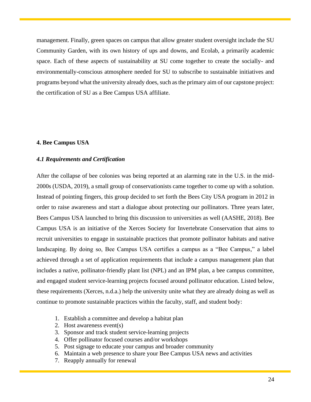management. Finally, green spaces on campus that allow greater student oversight include the SU Community Garden, with its own history of ups and downs, and Ecolab, a primarily academic space. Each of these aspects of sustainability at SU come together to create the socially- and environmentally-conscious atmosphere needed for SU to subscribe to sustainable initiatives and programs beyond what the university already does, such as the primary aim of our capstone project: the certification of SU as a Bee Campus USA affiliate.

## <span id="page-24-0"></span>**4. Bee Campus USA**

## <span id="page-24-1"></span>*4.1 Requirements and Certification*

After the collapse of bee colonies was being reported at an alarming rate in the U.S. in the mid-2000s (USDA, 2019), a small group of conservationists came together to come up with a solution. Instead of pointing fingers, this group decided to set forth the Bees City USA program in 2012 in order to raise awareness and start a dialogue about protecting our pollinators. Three years later, Bees Campus USA launched to bring this discussion to universities as well (AASHE, 2018). Bee Campus USA is an initiative of the Xerces Society for Invertebrate Conservation that aims to recruit universities to engage in sustainable practices that promote pollinator habitats and native landscaping. By doing so, Bee Campus USA certifies a campus as a "Bee Campus," a label achieved through a set of application requirements that include a campus management plan that includes a native, pollinator-friendly plant list (NPL) and an IPM plan, a bee campus committee, and engaged student service-learning projects focused around pollinator education. Listed below, these requirements (Xerces, n.d.a.) help the university unite what they are already doing as well as continue to promote sustainable practices within the faculty, staff, and student body:

- 1. Establish a committee and develop a habitat plan
- 2. Host awareness event(s)
- 3. Sponsor and track student service-learning projects
- 4. Offer pollinator focused courses and/or workshops
- 5. Post signage to educate your campus and broader community
- 6. Maintain a web presence to share your Bee Campus USA news and activities
- 7. Reapply annually for renewal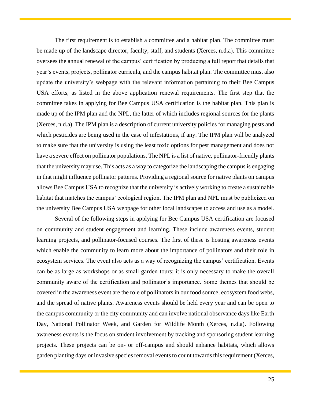The first requirement is to establish a committee and a habitat plan. The committee must be made up of the landscape director, faculty, staff, and students (Xerces, n.d.a). This committee oversees the annual renewal of the campus' certification by producing a full report that details that year's events, projects, pollinator curricula, and the campus habitat plan. The committee must also update the university's webpage with the relevant information pertaining to their Bee Campus USA efforts, as listed in the above application renewal requirements. The first step that the committee takes in applying for Bee Campus USA certification is the habitat plan. This plan is made up of the IPM plan and the NPL, the latter of which includes regional sources for the plants (Xerces, n.d.a). The IPM plan is a description of current university policies for managing pests and which pesticides are being used in the case of infestations, if any. The IPM plan will be analyzed to make sure that the university is using the least toxic options for pest management and does not have a severe effect on pollinator populations. The NPL is a list of native, pollinator-friendly plants that the university may use. This acts as a way to categorize the landscaping the campus is engaging in that might influence pollinator patterns. Providing a regional source for native plants on campus allows Bee Campus USA to recognize that the university is actively working to create a sustainable habitat that matches the campus' ecological region. The IPM plan and NPL must be publicized on the university Bee Campus USA webpage for other local landscapes to access and use as a model.

Several of the following steps in applying for Bee Campus USA certification are focused on community and student engagement and learning. These include awareness events, student learning projects, and pollinator-focused courses. The first of these is hosting awareness events which enable the community to learn more about the importance of pollinators and their role in ecosystem services. The event also acts as a way of recognizing the campus' certification. Events can be as large as workshops or as small garden tours; it is only necessary to make the overall community aware of the certification and pollinator's importance. Some themes that should be covered in the awareness event are the role of pollinators in our food source, ecosystem food webs, and the spread of native plants. Awareness events should be held every year and can be open to the campus community or the city community and can involve national observance days like Earth Day, National Pollinator Week, and Garden for Wildlife Month (Xerces, n.d.a). Following awareness events is the focus on student involvement by tracking and sponsoring student learning projects. These projects can be on- or off-campus and should enhance habitats, which allows garden planting days or invasive species removal events to count towards this requirement (Xerces,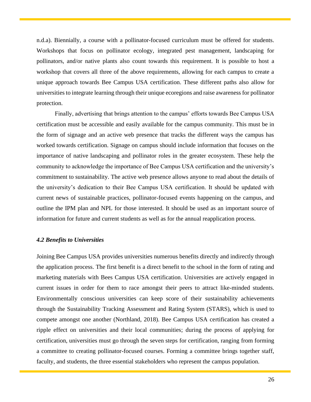n.d.a). Biennially, a course with a pollinator-focused curriculum must be offered for students. Workshops that focus on pollinator ecology, integrated pest management, landscaping for pollinators, and/or native plants also count towards this requirement. It is possible to host a workshop that covers all three of the above requirements, allowing for each campus to create a unique approach towards Bee Campus USA certification. These different paths also allow for universities to integrate learning through their unique ecoregions and raise awareness for pollinator protection.

Finally, advertising that brings attention to the campus' efforts towards Bee Campus USA certification must be accessible and easily available for the campus community. This must be in the form of signage and an active web presence that tracks the different ways the campus has worked towards certification. Signage on campus should include information that focuses on the importance of native landscaping and pollinator roles in the greater ecosystem. These help the community to acknowledge the importance of Bee Campus USA certification and the university's commitment to sustainability. The active web presence allows anyone to read about the details of the university's dedication to their Bee Campus USA certification. It should be updated with current news of sustainable practices, pollinator-focused events happening on the campus, and outline the IPM plan and NPL for those interested. It should be used as an important source of information for future and current students as well as for the annual reapplication process.

## <span id="page-26-0"></span>*4.2 Benefits to Universities*

Joining Bee Campus USA provides universities numerous benefits directly and indirectly through the application process. The first benefit is a direct benefit to the school in the form of rating and marketing materials with Bees Campus USA certification. Universities are actively engaged in current issues in order for them to race amongst their peers to attract like-minded students. Environmentally conscious universities can keep score of their sustainability achievements through the Sustainability Tracking Assessment and Rating System (STARS), which is used to compete amongst one another (Northland, 2018). Bee Campus USA certification has created a ripple effect on universities and their local communities; during the process of applying for certification, universities must go through the seven steps for certification, ranging from forming a committee to creating pollinator-focused courses. Forming a committee brings together staff, faculty, and students, the three essential stakeholders who represent the campus population.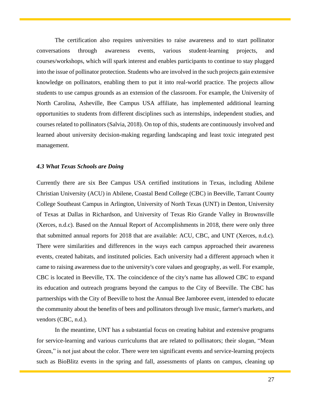The certification also requires universities to raise awareness and to start pollinator conversations through awareness events, various student-learning projects, and courses/workshops, which will spark interest and enables participants to continue to stay plugged into the issue of pollinator protection. Students who are involved in the such projects gain extensive knowledge on pollinators, enabling them to put it into real-world practice. The projects allow students to use campus grounds as an extension of the classroom. For example, the University of North Carolina, Asheville, Bee Campus USA affiliate, has implemented additional learning opportunities to students from different disciplines such as internships, independent studies, and courses related to pollinators (Salvia, 2018). On top of this, students are continuously involved and learned about university decision-making regarding landscaping and least toxic integrated pest management.

#### <span id="page-27-0"></span>*4.3 What Texas Schools are Doing*

Currently there are six Bee Campus USA certified institutions in Texas, including Abilene Christian University (ACU) in Abilene, Coastal Bend College (CBC) in Beeville, Tarrant County College Southeast Campus in Arlington, University of North Texas (UNT) in Denton, University of Texas at Dallas in Richardson, and University of Texas Rio Grande Valley in Brownsville (Xerces, n.d.c). Based on the Annual Report of Accomplishments in 2018, there were only three that submitted annual reports for 2018 that are available: ACU, CBC, and UNT (Xerces, n.d.c). There were similarities and differences in the ways each campus approached their awareness events, created habitats, and instituted policies. Each university had a different approach when it came to raising awareness due to the university's core values and geography, as well. For example, CBC is located in Beeville, TX. The coincidence of the city's name has allowed CBC to expand its education and outreach programs beyond the campus to the City of Beeville. The CBC has partnerships with the City of Beeville to host the Annual Bee Jamboree event, intended to educate the community about the benefits of bees and pollinators through live music, farmer's markets, and vendors (CBC, n.d.).

In the meantime, UNT has a substantial focus on creating habitat and extensive programs for service-learning and various curriculums that are related to pollinators; their slogan, "Mean Green," is not just about the color. There were ten significant events and service-learning projects such as BioBlitz events in the spring and fall, assessments of plants on campus, cleaning up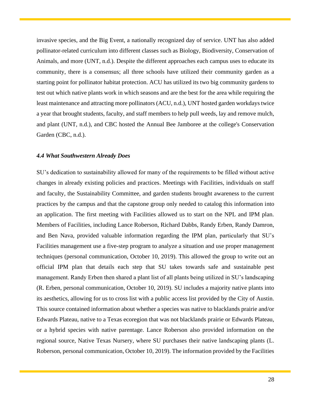invasive species, and the Big Event, a nationally recognized day of service. UNT has also added pollinator-related curriculum into different classes such as Biology, Biodiversity, Conservation of Animals, and more (UNT, n.d.). Despite the different approaches each campus uses to educate its community, there is a consensus; all three schools have utilized their community garden as a starting point for pollinator habitat protection. ACU has utilized its two big community gardens to test out which native plants work in which seasons and are the best for the area while requiring the least maintenance and attracting more pollinators (ACU, n.d.), UNT hosted garden workdays twice a year that brought students, faculty, and staff members to help pull weeds, lay and remove mulch, and plant (UNT, n.d.), and CBC hosted the Annual Bee Jamboree at the college's Conservation Garden (CBC, n.d.).

#### <span id="page-28-0"></span>*4.4 What Southwestern Already Does*

SU's dedication to sustainability allowed for many of the requirements to be filled without active changes in already existing policies and practices. Meetings with Facilities, individuals on staff and faculty, the Sustainability Committee, and garden students brought awareness to the current practices by the campus and that the capstone group only needed to catalog this information into an application. The first meeting with Facilities allowed us to start on the NPL and IPM plan. Members of Facilities, including Lance Roberson, Richard Dabbs, Randy Erben, Randy Damron, and Ben Nava, provided valuable information regarding the IPM plan, particularly that SU's Facilities management use a five-step program to analyze a situation and use proper management techniques (personal communication, October 10, 2019). This allowed the group to write out an official IPM plan that details each step that SU takes towards safe and sustainable pest management. Randy Erben then shared a plant list of all plants being utilized in SU's landscaping (R. Erben, personal communication, October 10, 2019). SU includes a majority native plants into its aesthetics, allowing for us to cross list with a public access list provided by the City of Austin. This source contained information about whether a species was native to blacklands prairie and/or Edwards Plateau, native to a Texas ecoregion that was not blacklands prairie or Edwards Plateau, or a hybrid species with native parentage. Lance Roberson also provided information on the regional source, Native Texas Nursery, where SU purchases their native landscaping plants (L. Roberson, personal communication, October 10, 2019). The information provided by the Facilities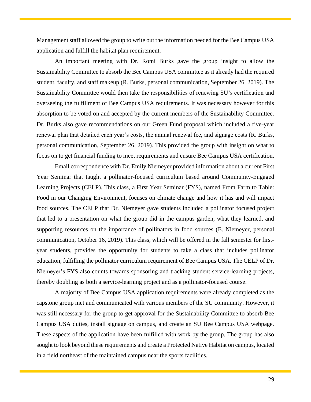Management staff allowed the group to write out the information needed for the Bee Campus USA application and fulfill the habitat plan requirement.

An important meeting with Dr. Romi Burks gave the group insight to allow the Sustainability Committee to absorb the Bee Campus USA committee as it already had the required student, faculty, and staff makeup (R. Burks, personal communication, September 26, 2019). The Sustainability Committee would then take the responsibilities of renewing SU's certification and overseeing the fulfillment of Bee Campus USA requirements. It was necessary however for this absorption to be voted on and accepted by the current members of the Sustainability Committee. Dr. Burks also gave recommendations on our Green Fund proposal which included a five-year renewal plan that detailed each year's costs, the annual renewal fee, and signage costs (R. Burks, personal communication, September 26, 2019). This provided the group with insight on what to focus on to get financial funding to meet requirements and ensure Bee Campus USA certification.

Email correspondence with Dr. Emily Niemeyer provided information about a current First Year Seminar that taught a pollinator-focused curriculum based around Community-Engaged Learning Projects (CELP). This class, a First Year Seminar (FYS), named From Farm to Table: Food in our Changing Environment, focuses on climate change and how it has and will impact food sources. The CELP that Dr. Niemeyer gave students included a pollinator focused project that led to a presentation on what the group did in the campus garden, what they learned, and supporting resources on the importance of pollinators in food sources (E. Niemeyer, personal communication, October 16, 2019). This class, which will be offered in the fall semester for firstyear students, provides the opportunity for students to take a class that includes pollinator education, fulfilling the pollinator curriculum requirement of Bee Campus USA. The CELP of Dr. Niemeyer's FYS also counts towards sponsoring and tracking student service-learning projects, thereby doubling as both a service-learning project and as a pollinator-focused course.

A majority of Bee Campus USA application requirements were already completed as the capstone group met and communicated with various members of the SU community. However, it was still necessary for the group to get approval for the Sustainability Committee to absorb Bee Campus USA duties, install signage on campus, and create an SU Bee Campus USA webpage. These aspects of the application have been fulfilled with work by the group. The group has also sought to look beyond these requirements and create a Protected Native Habitat on campus, located in a field northeast of the maintained campus near the sports facilities.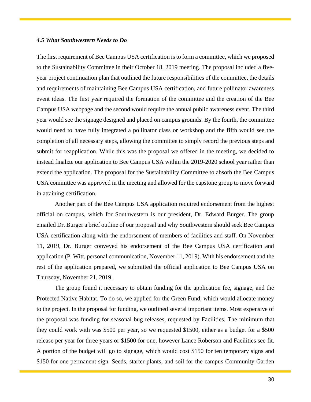## <span id="page-30-0"></span>*4.5 What Southwestern Needs to Do*

The first requirement of Bee Campus USA certification is to form a committee, which we proposed to the Sustainability Committee in their October 18, 2019 meeting. The proposal included a fiveyear project continuation plan that outlined the future responsibilities of the committee, the details and requirements of maintaining Bee Campus USA certification, and future pollinator awareness event ideas. The first year required the formation of the committee and the creation of the Bee Campus USA webpage and the second would require the annual public awareness event. The third year would see the signage designed and placed on campus grounds. By the fourth, the committee would need to have fully integrated a pollinator class or workshop and the fifth would see the completion of all necessary steps, allowing the committee to simply record the previous steps and submit for reapplication. While this was the proposal we offered in the meeting, we decided to instead finalize our application to Bee Campus USA within the 2019-2020 school year rather than extend the application. The proposal for the Sustainability Committee to absorb the Bee Campus USA committee was approved in the meeting and allowed for the capstone group to move forward in attaining certification.

Another part of the Bee Campus USA application required endorsement from the highest official on campus, which for Southwestern is our president, Dr. Edward Burger. The group emailed Dr. Burger a brief outline of our proposal and why Southwestern should seek Bee Campus USA certification along with the endorsement of members of facilities and staff. On November 11, 2019, Dr. Burger conveyed his endorsement of the Bee Campus USA certification and application (P. Witt, personal communication, November 11, 2019). With his endorsement and the rest of the application prepared, we submitted the official application to Bee Campus USA on Thursday, November 21, 2019.

The group found it necessary to obtain funding for the application fee, signage, and the Protected Native Habitat. To do so, we applied for the Green Fund, which would allocate money to the project. In the proposal for funding, we outlined several important items. Most expensive of the proposal was funding for seasonal bug releases, requested by Facilities. The minimum that they could work with was \$500 per year, so we requested \$1500, either as a budget for a \$500 release per year for three years or \$1500 for one, however Lance Roberson and Facilities see fit. A portion of the budget will go to signage, which would cost \$150 for ten temporary signs and \$150 for one permanent sign. Seeds, starter plants, and soil for the campus Community Garden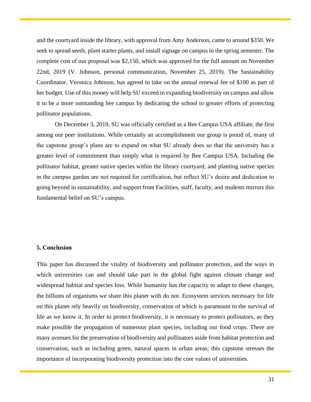and the courtyard inside the library, with approval from Amy Anderson, came to around \$350. We seek to spread seeds, plant starter plants, and install signage on campus in the spring semester. The complete cost of our proposal was \$2,150, which was approved for the full amount on November 22nd, 2019 (V. Johnson, personal communication, November 25, 2019). The Sustainability Coordinator, Veronica Johnson, has agreed to take on the annual renewal fee of \$100 as part of her budget. Use of this money will help SU exceed in expanding biodiversity on campus and allow it to be a more outstanding bee campus by dedicating the school to greater efforts of protecting pollinator populations.

On December 3, 2019, SU was officially certified as a Bee Campus USA affiliate, the first among our peer institutions. While certainly an accomplishment our group is proud of, many of the capstone group's plans are to expand on what SU already does so that the university has a greater level of commitment than simply what is required by Bee Campus USA. Including the pollinator habitat, greater native species within the library courtyard, and planting native species in the campus garden are not required for certification, but reflect SU's desire and dedication to going beyond in sustainability, and support from Facilities, staff, faculty, and students mirrors this fundamental belief on SU's campus.

## <span id="page-31-0"></span>**5. Conclusion**

This paper has discussed the vitality of biodiversity and pollinator protection, and the ways in which universities can and should take part in the global fight against climate change and widespread habitat and species loss. While humanity has the capacity to adapt to these changes, the billions of organisms we share this planet with do not. Ecosystem services necessary for life on this planet rely heavily on biodiversity, conservation of which is paramount to the survival of life as we know it. In order to protect biodiversity, it is necessary to protect pollinators, as they make possible the propagation of numerous plant species, including our food crops. There are many avenues for the preservation of biodiversity and pollinators aside from habitat protection and conservation, such as including green, natural spaces in urban areas; this capstone stresses the importance of incorporating biodiversity protection into the core values of universities.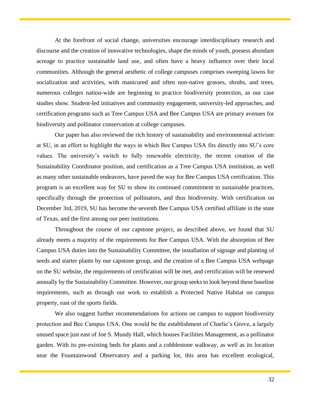At the forefront of social change, universities encourage interdisciplinary research and discourse and the creation of innovative technologies, shape the minds of youth, possess abundant acreage to practice sustainable land use, and often have a heavy influence over their local communities. Although the general aesthetic of college campuses comprises sweeping lawns for socialization and activities, with manicured and often non-native grasses, shrubs, and trees, numerous colleges nation-wide are beginning to practice biodiversity protection, as our case studies show. Student-led initiatives and community engagement, university-led approaches, and certification programs such as Tree Campus USA and Bee Campus USA are primary avenues for biodiversity and pollinator conservation at college campuses.

Our paper has also reviewed the rich history of sustainability and environmental activism at SU, in an effort to highlight the ways in which Bee Campus USA fits directly into SU's core values. The university's switch to fully renewable electricity, the recent creation of the Sustainability Coordinator position, and certification as a Tree Campus USA institution, as well as many other sustainable endeavors, have paved the way for Bee Campus USA certification. This program is an excellent way for SU to show its continued commitment to sustainable practices, specifically through the protection of pollinators, and thus biodiversity. With certification on December 3rd, 2019, SU has become the seventh Bee Campus USA certified affiliate in the state of Texas, and the first among our peer institutions.

Throughout the course of our capstone project, as described above, we found that SU already meets a majority of the requirements for Bee Campus USA. With the absorption of Bee Campus USA duties into the Sustainability Committee, the installation of signage and planting of seeds and starter plants by our capstone group, and the creation of a Bee Campus USA webpage on the SU website, the requirements of certification will be met, and certification will be renewed annually by the Sustainability Committee. However, our group seeks to look beyond these baseline requirements, such as through our work to establish a Protected Native Habitat on campus property, east of the sports fields.

We also suggest further recommendations for actions on campus to support biodiversity protection and Bee Campus USA. One would be the establishment of Charlie's Grove, a largely unused space just east of Joe S. Mundy Hall, which houses Facilities Management, as a pollinator garden. With its pre-existing beds for plants and a cobblestone walkway, as well as its location near the Fountainwood Observatory and a parking lot, this area has excellent ecological,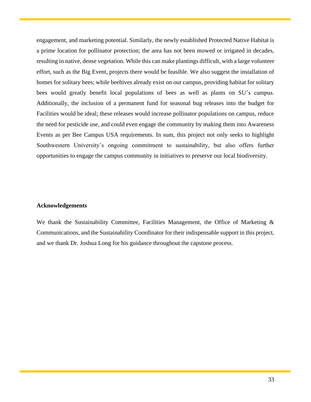engagement, and marketing potential. Similarly, the newly established Protected Native Habitat is a prime location for pollinator protection; the area has not been mowed or irrigated in decades, resulting in native, dense vegetation. While this can make plantings difficult, with a large volunteer effort, such as the Big Event, projects there would be feasible. We also suggest the installation of homes for solitary bees; while beehives already exist on our campus, providing habitat for solitary bees would greatly benefit local populations of bees as well as plants on SU's campus. Additionally, the inclusion of a permanent fund for seasonal bug releases into the budget for Facilities would be ideal; these releases would increase pollinator populations on campus, reduce the need for pesticide use, and could even engage the community by making them into Awareness Events as per Bee Campus USA requirements. In sum, this project not only seeks to highlight Southwestern University's ongoing commitment to sustainability, but also offers further opportunities to engage the campus community in initiatives to preserve our local biodiversity.

## **Acknowledgements**

<span id="page-33-0"></span>We thank the Sustainability Committee, Facilities Management, the Office of Marketing  $\&$ Communications, and the Sustainability Coordinator for their indispensable support in this project, and we thank Dr. Joshua Long for his guidance throughout the capstone process.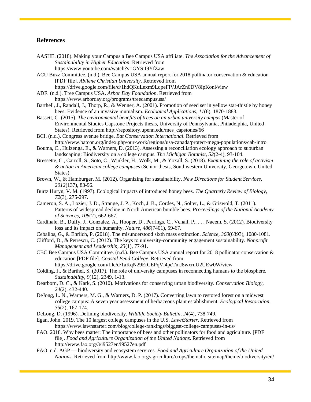## **References**

- AASHE. (2018). Making your Campus a Bee Campus USA affiliate. *The Association for the Advancement of Sustainability in Higher Education*. Retrieved from https://www.youtube.com/watch?v=GYSiI9YfZaw
- ACU Buzz Committee. (n.d.). Bee Campus USA annual report for 2018 pollinator conservation & education [PDF file]. *Abilene Christian University*. Retrieved from https://drive.google.com/file/d/1hdQKuLexm9LqpeFIVJArZn0DV8IpKonl/view
- ADF. (n.d.). Tree Campus USA. *Arbor Day Foundation*. Retrieved from https://www.arborday.org/programs/treecampususa/
- Barthell, J., Randall, J., Thorp, R., & Wenner, A. (2001). Promotion of seed set in yellow star-thistle by honey bees: Evidence of an invasive mutualism. *Ecological Applications, 11*(6), 1870-1883.
- Bassett, C. (2015). *The environmental benefits of trees on an urban university campus* (Master of Environmental Studies Capstone Projects thesis, University of Pennsylvania, Philadelphia, United States). Retrieved from http://repository.upenn.edu/mes\_capstones/66
- BCI. (n.d.). Congress avenue bridge. *Bat Conservation International*. Retrieved from http://www.batcon.org/index.php/our-work/regions/usa-canada/protect-mega-populations/cab-intro
- Bouma, C., Huizenga, E., & Warners, D. (2013). Assessing a reconciliation ecology approach to suburban landscaping: Biodiversity on a college campus. *The Michigan Botanist, 52*(2-4), 93-104.
- Bressette, C., Carroll, S., Soto, C., Winkler, H., Wolk, M., & Yoxall, S. (2018). *Examining the role of activism & action in American college campuses* (Senior thesis, Southwestern University, Georgetown, United States).
- Brown, W., & Hamburger, M. (2012). Organizing for sustainability. *New Directions for Student Services, 2012*(137), 83-96.
- Burtz Huryn, V. M. (1997). Ecological impacts of introduced honey bees. *The Quarterly Review of Biology, 72*(3), 275-297.
- Cameron, S. A., Lozier, J. D., Strange, J. P., Koch, J. B., Cordes, N., Solter, L., & Griswold, T. (2011). Patterns of widespread decline in North American bumble bees. *Proceedings of the National Academy of Sciences, 108*(2), 662-667.
- Cardinale, B., Duffy, J., Gonzalez, A., Hooper, D., Perrings, C., Venail, P., . . . Naeem, S. (2012). Biodiversity loss and its impact on humanity. *Nature, 486*(7401), 59-67.
- Ceballos, G., & Ehrlich, P. (2018). The misunderstood sixth mass extinction. *Science, 360*(6393), 1080-1081.
- Clifford, D., & Petrescu, C. (2012). The keys to university-community engagement sustainability. *Nonprofit Management and Leadership, 23*(1), 77-91.
- CBC Bee Campus USA Committee. (n.d.). Bee Campus USA annual report for 2018 pollinator conservation & education [PDF file]. *Coastal Bend College*. Retrieved from https://drive.google.com/file/d/1aKqN29ErCEPqVi4peTmJ8wxruU2UEw0W/view
- Colding, J., & Barthel, S. (2017). The role of university campuses in reconnecting humans to the biosphere. *Sustainability, 9*(12), 2349, 1-13.
- Dearborn, D. C., & Kark, S. (2010). Motivations for conserving urban biodiversity. *Conservation Biology, 24*(2), 432-440.
- DeJong, L. N., Warners, M. G., & Warners, D. P. (2017). Converting lawn to restored forest on a midwest college campus: A seven year assessment of herbaceous plant establishment. *Ecological Restoration, 35*(2), 167-174.
- DeLong, D. (1996). Defining biodiversity. *Wildlife Society Bulletin, 24*(4), 738-749.
- Egan, John. 2019. The 10 largest college campuses in the U.S. *LawnStarter*. Retrieved from https://www.lawnstarter.com/blog/college-rankings/biggest-college-campuses-in-us/
- FAO. 2018. Why bees matter: The importance of bees and other pollinators for food and agriculture. [PDF file]. *Food and Agriculture Organization of the United Nations*. Retrieved from http://www.fao.org/3/i9527en/i9527en.pdf
- FAO. n.d. AGP biodiversity and ecosystem services. *Food and Agriculture Organization of the United Nations*. Retrieved from http://www.fao.org/agriculture/crops/thematic-sitemap/theme/biodiversity/en/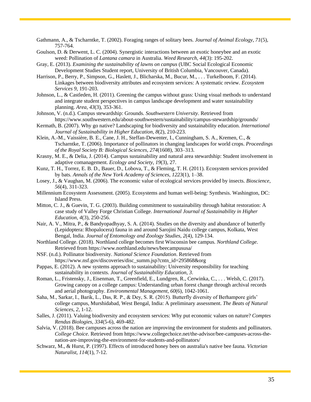- Gathmann, A., & Tscharntke, T. (2002). Foraging ranges of solitary bees. *Journal of Animal Ecology, 71*(5), 757-764.
- Goulson, D. & Derwent, L. C. (2004). Synergistic interactions between an exotic honeybee and an exotic weed: Pollination of *Lantana camara* in Australia. *Weed Research, 44*(3): 195-202.
- Gray, E. (2013). *Examining the sustainability of lawns on campus* (UBC Social Ecological Economic Development Studies Student report, University of British Columbia, Vancouver, Canada).
- Harrison, P., Berry, P., Simpson, G., Haslett, J., Blicharska, M., Bucur, M., . . . Turkelboom, F. (2014). Linkages between biodiversity attributes and ecosystem services: A systematic review. *Ecosystem Services 9*, 191-203.
- Johnson, L., & Castleden, H. (2011). Greening the campus without grass: Using visual methods to understand and integrate student perspectives in campus landscape development and water sustainability planning. *Area, 43*(3), 353-361.
- Johnson, V. (n.d.). Campus stewardship: Grounds. *Southwestern University*. Retrieved from https://www.southwestern.edu/about-southwestern/sustainability/campus-stewardship/grounds/
- Kermath, B. (2007). Why go native? Landscaping for biodiversity and sustainability education. *International Journal of Sustainability in Higher Education, 8*(2), 210-223.
- Klein, A.-M., Vaissière, B. E., Cane, J. H., Steffan-Dewenter, I., Cunningham, S. A., Kremen, C., & Tscharntke, T. (2006). Importance of pollinators in changing landscapes for world crops. *Proceedings of the Royal Society B: Biological Sciences, 274*(1608), 303–313.
- Krasny, M. E., & Delia, J. (2014). Campus sustainability and natural area stewardship: Student involvement in adaptive comanagement. *Ecology and Society, 19*(3), 27.
- Kunz, T. H., Torrez, E. B. D., Bauer, D., Lobova, T., & Fleming, T. H. (2011). Ecosystem services provided by bats. *Annals of the New York Academy of Sciences, 1223*(1), 1–38.
- Losey, J., & Vaughan, M. (2006). The economic value of ecological services provided by insects. *Bioscience, 56*(4), 311-323.
- Millennium Ecosystem Assessment. (2005). Ecosystems and human well-being: Synthesis. Washington, DC: Island Press.
- Mitton, C. J., & Guevin, T. G. (2003). Building commitment to sustainability through habitat restoration: A case study of Valley Forge Christian College. *International Journal of Sustainability in Higher Education, 4*(3), 250-256.
- Nair, A. V., Mitra, P., & Bandyopadhyay, S. A. (2014). Studies on the diversity and abundance of butterfly (Lepidoptera: Rhopalocera) fauna in and around Sarojini Naidu college campus, Kolkata, West Bengal, India. *Journal of Entomology and Zoology Studies, 2*(4), 129-134.
- Northland College. (2018). Northland college becomes first Wisconsin bee campus. *Northland College*. Retrieved from https://www.northland.edu/news/beecampususa/
- NSF. (n.d.). Pollinator biodiversity. *National Science Foundation*. Retrieved from https://www.nsf.gov/discoveries/disc\_summ.jsp?cntn\_id=295868&org
- Pappas, E. (2012). A new systems approach to sustainability: University responsibility for teaching sustainability in contexts. *Journal of Sustainability Education, 3*.
- Roman, L., Fristensky, J., Eisenman, T., Greenfield, E., Lundgren, R., Cerwinka, C., . . . Welsh, C. (2017). Growing canopy on a college campus: Understanding urban forest change through archival records and aerial photography. *Environmental Management, 60*(6), 1042-1061.
- Saha, M., Sarkar, I., Barik, L., Das, R. P., & Dey, S. R. (2015). Butterfly diversity of Berhampore girls' college campus, Murshidabad, West Bengal, India: A preliminary assessment. *The Beats of Natural Sciences, 2*, 1-12.
- Salles, J. (2011). Valuing biodiversity and ecosystem services: Why put economic values on nature? *Comptes Rendus Biologies, 334*(5-6), 469-482.
- Salvia, V. (2018). Bee campuses across the nation are improving the environment for students and pollinators. *College Choice*. Retrieved from https://www.collegechoice.net/the-advisor/bee-campuses-across-thenation-are-improving-the-environment-for-students-and-pollinators/
- Schwarz, M., & Hurst, P. (1997). Effects of introduced honey bees on australia's native bee fauna. *Victorian Naturalist, 114*(1), 7-12.